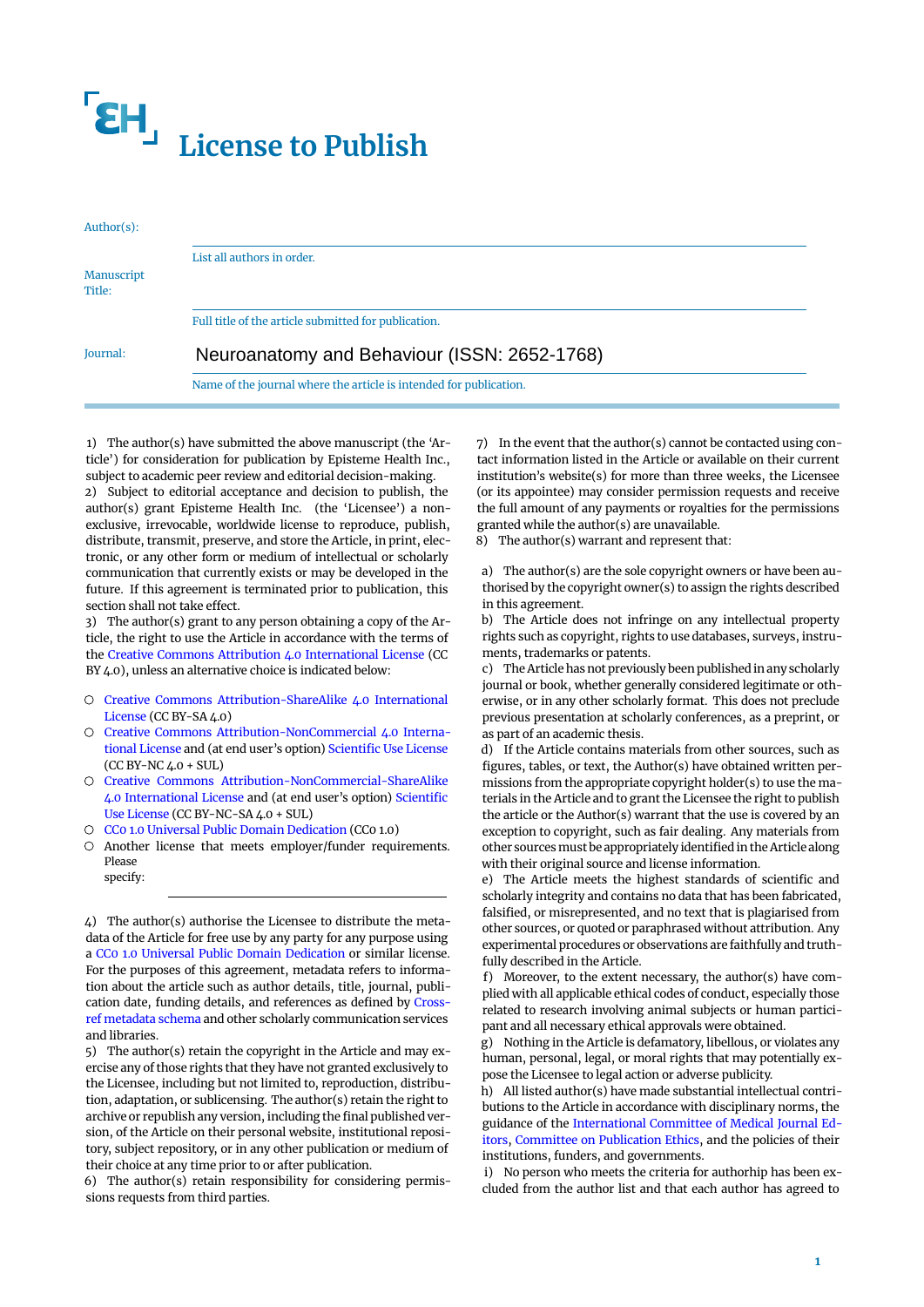## **εH License to Publish**

| Author(s):           |                                                                    |
|----------------------|--------------------------------------------------------------------|
|                      | List all authors in order.                                         |
| Manuscript<br>Title: |                                                                    |
|                      | Full title of the article submitted for publication.               |
| Journal:             | Neuroanatomy and Behaviour (ISSN: 2652-1768)                       |
|                      | Name of the journal where the article is intended for publication. |

1) The author(s) have submitted the above manuscript (the 'Article') for consideration for publication by Episteme Health Inc., subject to academic peer review and editorial decision-making.

2) Subject to editorial acceptance and decision to publish, the author(s) grant Episteme Health Inc. (the 'Licensee') a nonexclusive, irrevocable, worldwide license to reproduce, publish, distribute, transmit, preserve, and store the Article, in print, electronic, or any other form or medium of intellectual or scholarly communication that currently exists or may be developed in the future. If this agreement is terminated prior to publication, this section shall not take effect.

3) The author(s) grant to any person obtaining a copy of the Article, the right to use the Article in accordance with the terms of the [Creative Commons Attribution 4.0 International License](https://creativecommons.org/licenses/by/4.0/) (CC BY 4.0), unless an alternative choice is indicated below:

- [Creative Commons Attribution-ShareAlike 4.0 International](https://creativecommons.org/licenses/by-sa/4.0/) [License](https://creativecommons.org/licenses/by-sa/4.0/) (CC BY-SA 4.0)
- $\bigcap$ [Creative Commons Attribution-NonCommercial 4.0 Interna](https://creativecommons.org/licenses/by-nc/4.0/)[tional License](https://creativecommons.org/licenses/by-nc/4.0/) and (at end user's option) [Scientific Use License](https://doi.org/10.23668/psycharchives.4988) (CC BY-NC 4.0 + SUL)
- [Creative Commons Attribution-NonCommercial-ShareAlike](https://creativecommons.org/licenses/by-nc-sa/4.0/) [4.0 International License](https://creativecommons.org/licenses/by-nc-sa/4.0/) and (at end user's option) [Scientific](https://doi.org/10.23668/psycharchives.4988) [Use License](https://doi.org/10.23668/psycharchives.4988) (CC BY-NC-SA 4.0 + SUL)
- O [CC0 1.0 Universal Public Domain Dedication](https://creativecommons.org/publicdomain/zero/1.0/) (CC0 1.0)
- $\circ$  Another license that meets employer/funder requirements. Please specify:

4) The author(s) authorise the Licensee to distribute the metadata of the Article for free use by any party for any purpose using a [CC0 1.0 Universal Public Domain Dedication](https://creativecommons.org/publicdomain/zero/1.0/) or similar license. For the purposes of this agreement, metadata refers to information about the article such as author details, title, journal, publication date, funding details, and references as defined by [Cross](https://www.crossref.org/education/content-registration/crossrefs-metadata-deposit-schema/)[ref metadata schema](https://www.crossref.org/education/content-registration/crossrefs-metadata-deposit-schema/) and other scholarly communication services and libraries.

5) The author(s) retain the copyright in the Article and may exercise any of those rights that they have not granted exclusively to the Licensee, including but not limited to, reproduction, distribution, adaptation, or sublicensing. The author(s) retain the right to archive or republish any version, including the final published version, of the Article on their personal website, institutional repository, subject repository, or in any other publication or medium of their choice at any time prior to or after publication.

6) The author(s) retain responsibility for considering permissions requests from third parties.

7) In the event that the author(s) cannot be contacted using contact information listed in the Article or available on their current institution's website(s) for more than three weeks, the Licensee (or its appointee) may consider permission requests and receive the full amount of any payments or royalties for the permissions granted while the author(s) are unavailable.

8) The author(s) warrant and represent that:

a) The author(s) are the sole copyright owners or have been authorised by the copyright owner(s) to assign the rights described in this agreement.

b) The Article does not infringe on any intellectual property rights such as copyright, rights to use databases, surveys, instruments, trademarks or patents.

c) The Article has not previously been published in any scholarly journal or book, whether generally considered legitimate or otherwise, or in any other scholarly format. This does not preclude previous presentation at scholarly conferences, as a preprint, or as part of an academic thesis.

d) If the Article contains materials from other sources, such as figures, tables, or text, the Author(s) have obtained written permissions from the appropriate copyright holder(s) to use the materials in the Article and to grant the Licensee the right to publish the article or the Author(s) warrant that the use is covered by an exception to copyright, such as fair dealing. Any materials from other sources must be appropriately identified in the Article along with their original source and license information.

e) The Article meets the highest standards of scientific and scholarly integrity and contains no data that has been fabricated, falsified, or misrepresented, and no text that is plagiarised from other sources, or quoted or paraphrased without attribution. Any experimental procedures or observations are faithfully and truthfully described in the Article.

f) Moreover, to the extent necessary, the author(s) have complied with all applicable ethical codes of conduct, especially those related to research involving animal subjects or human participant and all necessary ethical approvals were obtained.

g) Nothing in the Article is defamatory, libellous, or violates any human, personal, legal, or moral rights that may potentially expose the Licensee to legal action or adverse publicity.

h) All listed author(s) have made substantial intellectual contributions to the Article in accordance with disciplinary norms, the guidance of the [International Committee of Medical Journal Ed](http://www.icmje.org/)[itors](http://www.icmje.org/), [Committee on Publication Ethics,](https://publicationethics.org/) and the policies of their institutions, funders, and governments.

i) No person who meets the criteria for authorhip has been excluded from the author list and that each author has agreed to